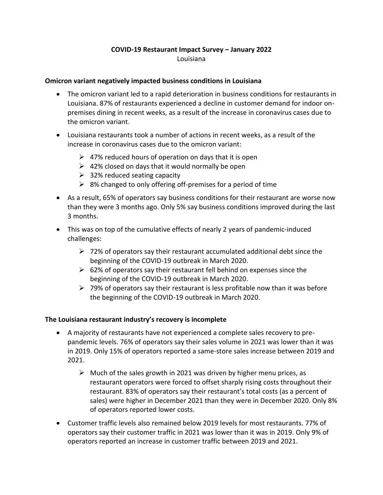# **COVID-19 Restaurant Impact Survey – January 2022** Louisiana

### **Omicron variant negatively impacted business conditions in Louisiana**

- The omicron variant led to a rapid deterioration in business conditions for restaurants in Louisiana. 87% of restaurants experienced a decline in customer demand for indoor onpremises dining in recent weeks, as a result of the increase in coronavirus cases due to the omicron variant.
- Louisiana restaurants took a number of actions in recent weeks, as a result of the increase in coronavirus cases due to the omicron variant:
	- $\geq$  47% reduced hours of operation on days that it is open
	- $\geq$  42% closed on days that it would normally be open
	- $\geq$  32% reduced seating capacity
	- $\geq$  8% changed to only offering off-premises for a period of time
- As a result, 65% of operators say business conditions for their restaurant are worse now than they were 3 months ago. Only 5% say business conditions improved during the last 3 months.
- This was on top of the cumulative effects of nearly 2 years of pandemic-induced challenges:
	- $\triangleright$  72% of operators say their restaurant accumulated additional debt since the beginning of the COVID-19 outbreak in March 2020.
	- $\geq$  62% of operators say their restaurant fell behind on expenses since the beginning of the COVID-19 outbreak in March 2020.
	- $\triangleright$  79% of operators say their restaurant is less profitable now than it was before the beginning of the COVID-19 outbreak in March 2020.

### **The Louisiana restaurant industry's recovery is incomplete**

- A majority of restaurants have not experienced a complete sales recovery to prepandemic levels. 76% of operators say their sales volume in 2021 was lower than it was in 2019. Only 15% of operators reported a same-store sales increase between 2019 and 2021.
	- $\triangleright$  Much of the sales growth in 2021 was driven by higher menu prices, as restaurant operators were forced to offset sharply rising costs throughout their restaurant. 83% of operators say their restaurant's total costs (as a percent of sales) were higher in December 2021 than they were in December 2020. Only 8% of operators reported lower costs.
- Customer traffic levels also remained below 2019 levels for most restaurants. 77% of operators say their customer traffic in 2021 was lower than it was in 2019. Only 9% of operators reported an increase in customer traffic between 2019 and 2021.